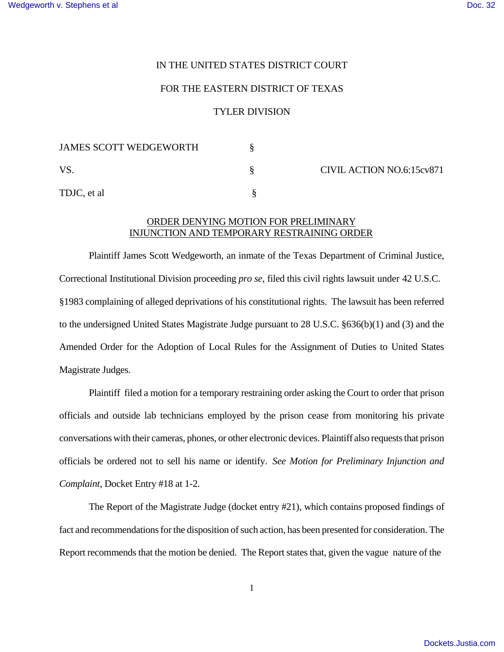## IN THE UNITED STATES DISTRICT COURT

## FOR THE EASTERN DISTRICT OF TEXAS

## TYLER DIVISION

| <b>JAMES SCOTT WEDGEWORTH</b> |                           |
|-------------------------------|---------------------------|
| <b>VS</b>                     | CIVIL ACTION NO.6:15cv871 |
| TDJC, et al                   |                           |

## ORDER DENYING MOTION FOR PRELIMINARY INJUNCTION AND TEMPORARY RESTRAINING ORDER

Plaintiff James Scott Wedgeworth, an inmate of the Texas Department of Criminal Justice, Correctional Institutional Division proceeding *pro se*, filed this civil rights lawsuit under 42 U.S.C. §1983 complaining of alleged deprivations of his constitutional rights. The lawsuit has been referred to the undersigned United States Magistrate Judge pursuant to 28 U.S.C. §636(b)(1) and (3) and the Amended Order for the Adoption of Local Rules for the Assignment of Duties to United States Magistrate Judges.

Plaintiff filed a motion for a temporary restraining order asking the Court to order that prison officials and outside lab technicians employed by the prison cease from monitoring his private conversations with their cameras, phones, or other electronic devices. Plaintiff also requests that prison officials be ordered not to sell his name or identify. *See Motion for Preliminary Injunction and Complaint*, Docket Entry #18 at 1-2.

The Report of the Magistrate Judge (docket entry #21), which contains proposed findings of fact and recommendations for the disposition of such action, has been presented for consideration. The Report recommends that the motion be denied. The Report states that, given the vague nature of the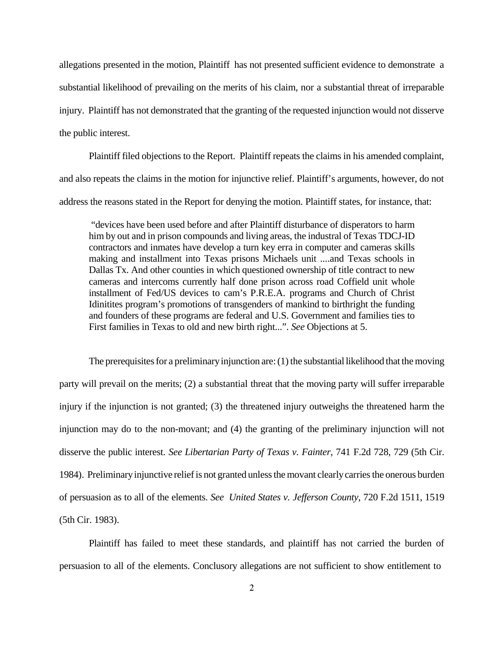allegations presented in the motion, Plaintiff has not presented sufficient evidence to demonstrate a substantial likelihood of prevailing on the merits of his claim, nor a substantial threat of irreparable injury. Plaintiff has not demonstrated that the granting of the requested injunction would not disserve the public interest.

Plaintiff filed objections to the Report. Plaintiff repeats the claims in his amended complaint, and also repeats the claims in the motion for injunctive relief. Plaintiff's arguments, however, do not address the reasons stated in the Report for denying the motion. Plaintiff states, for instance, that:

"devices have been used before and after Plaintiff disturbance of disperators to harm him by out and in prison compounds and living areas, the industral of Texas TDCJ-ID contractors and inmates have develop a turn key erra in computer and cameras skills making and installment into Texas prisons Michaels unit ....and Texas schools in Dallas Tx. And other counties in which questioned ownership of title contract to new cameras and intercoms currently half done prison across road Coffield unit whole installment of Fed/US devices to cam's P.R.E.A. programs and Church of Christ Idinitites program's promotions of transgenders of mankind to birthright the funding and founders of these programs are federal and U.S. Government and families ties to First families in Texas to old and new birth right...". *See* Objections at 5.

The prerequisites for a preliminary injunction are:  $(1)$  the substantial likelihood that the moving party will prevail on the merits; (2) a substantial threat that the moving party will suffer irreparable injury if the injunction is not granted; (3) the threatened injury outweighs the threatened harm the injunction may do to the non-movant; and (4) the granting of the preliminary injunction will not disserve the public interest. *See Libertarian Party of Texas v. Fainter*, 741 F.2d 728, 729 (5th Cir. 1984). Preliminaryinjunctive relief is not granted unless the movant clearlycarries the onerous burden of persuasion as to all of the elements. *See United States v. Jefferson County*, 720 F.2d 1511, 1519 (5th Cir. 1983).

Plaintiff has failed to meet these standards, and plaintiff has not carried the burden of persuasion to all of the elements. Conclusory allegations are not sufficient to show entitlement to